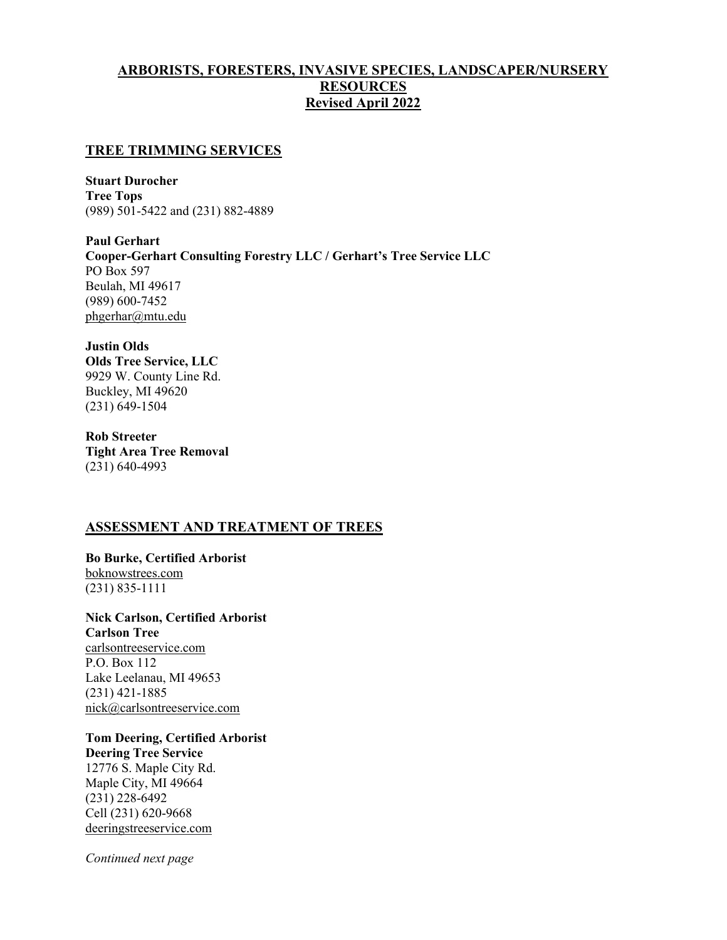# ARBORISTS, FORESTERS, INVASIVE SPECIES, LANDSCAPER/NURSERY **RESOURCES** Revised April 2022

### TREE TRIMMING SERVICES

Stuart Durocher Tree Tops (989) 501-5422 and (231) 882-4889

Paul Gerhart Cooper-Gerhart Consulting Forestry LLC / Gerhart's Tree Service LLC PO Box 597 Beulah, MI 49617 (989) 600-7452 phgerhar@mtu.edu

# Justin Olds

Olds Tree Service, LLC 9929 W. County Line Rd. Buckley, MI 49620 (231) 649-1504

Rob Streeter Tight Area Tree Removal (231) 640-4993

### ASSESSMENT AND TREATMENT OF TREES

Bo Burke, Certified Arborist boknowstrees.com (231) 835-1111

Nick Carlson, Certified Arborist Carlson Tree carlsontreeservice.com P.O. Box 112 Lake Leelanau, MI 49653 (231) 421-1885 nick@carlsontreeservice.com

Tom Deering, Certified Arborist Deering Tree Service 12776 S. Maple City Rd. Maple City, MI 49664 (231) 228-6492 Cell (231) 620-9668 deeringstreeservice.com

Continued next page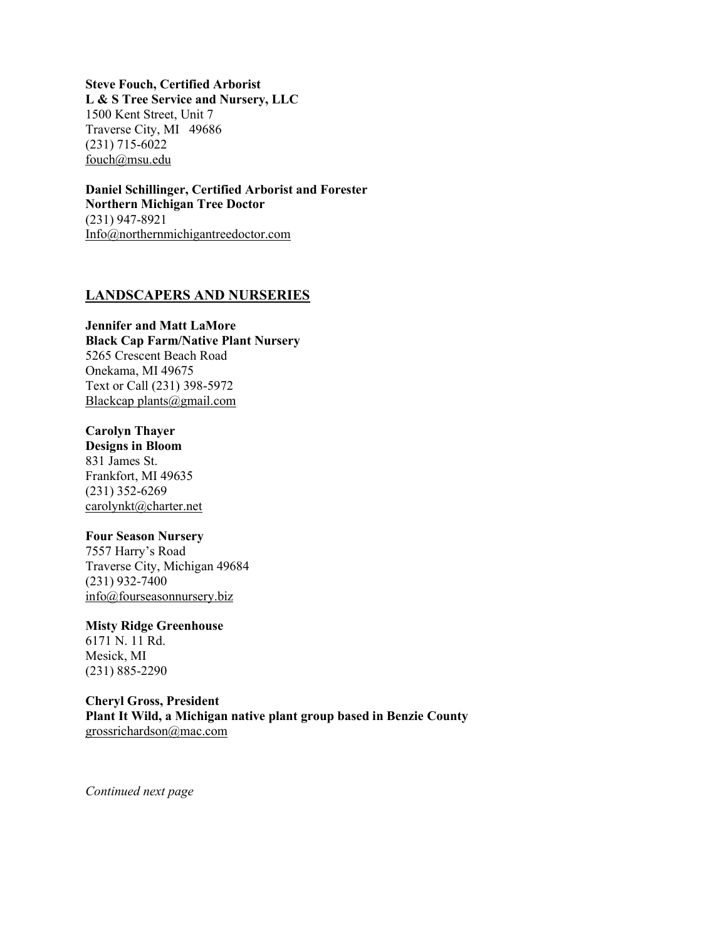Steve Fouch, Certified Arborist L & S Tree Service and Nursery, LLC 1500 Kent Street, Unit 7 Traverse City, MI 49686 (231) 715-6022 fouch@msu.edu

Daniel Schillinger, Certified Arborist and Forester Northern Michigan Tree Doctor (231) 947-8921 Info@northernmichigantreedoctor.com

### LANDSCAPERS AND NURSERIES

### Jennifer and Matt LaMore Black Cap Farm/Native Plant Nursery 5265 Crescent Beach Road Onekama, MI 49675 Text or Call (231) 398-5972 Blackcap plants@gmail.com

# Carolyn Thayer

Designs in Bloom 831 James St. Frankfort, MI 49635 (231) 352-6269 carolynkt@charter.net

### Four Season Nursery

7557 Harry's Road Traverse City, Michigan 49684 (231) 932-7400 info@fourseasonnursery.biz

# Misty Ridge Greenhouse

6171 N. 11 Rd. Mesick, MI (231) 885-2290

#### Cheryl Gross, President Plant It Wild, a Michigan native plant group based in Benzie County grossrichardson@mac.com

Continued next page